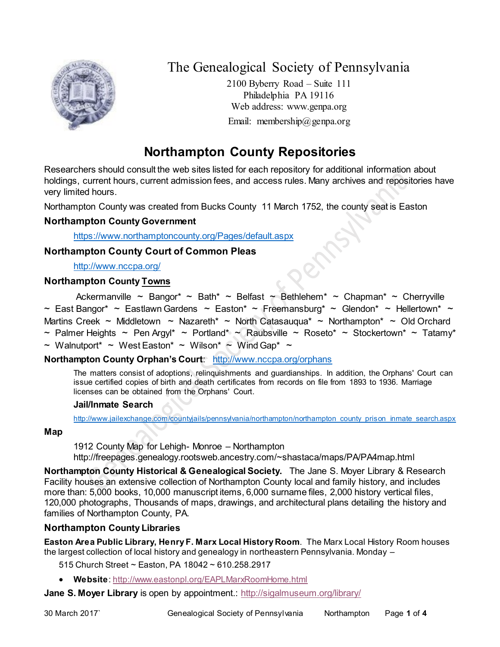

# The Genealogical Society of Pennsylvania

2100 Byberry Road – Suite 111 Philadelphia PA 19116 Web address: www.genpa.org Email: membership@genpa.org

## **Northampton County Repositories**

Researchers should consult the web sites listed for each repository for additional information about holdings, current hours, current admission fees, and access rules. Many archives and repositories have very limited hours.

Northampton County was created from Bucks County 11 March 1752, the county seat is Easton

## **Northampton County Government**

<https://www.northamptoncounty.org/Pages/default.aspx>

## **Northampton County Court of Common Pleas**

<http://www.nccpa.org/>

### **Northampton Count[y Towns](http://www.bradfordcountypa.org/index.php/our-towns)**

Ackermanville ~ Bangor\* ~ Bath\* ~ Belfast ~ Bethlehem\* ~ Chapman\* ~ Cherryville  $\sim$  East Bangor\*  $\sim$  Eastlawn Gardens  $\sim$  Easton\*  $\sim$  Freemansburg\*  $\sim$  Glendon\*  $\sim$  Hellertown\*  $\sim$ Martins Creek ~ Middletown ~ Nazareth\* ~ North Catasaugua\* ~ Northampton\* ~ Old Orchard ~ Palmer Heights ~ Pen Argyl\* ~ Portland\* ~ Raubsville ~ Roseto\* ~ Stockertown\* ~ Tatamy\*

 $\sim$  Walnutport\*  $\sim$  West Easton\*  $\sim$  Wilson\*  $\sim$  Wind Gap\*  $\sim$ 

### **Northampton County Orphan's Court**: <http://www.nccpa.org/orphans>

The matters consist of adoptions, relinquishments and guardianships. In addition, the Orphans' Court can issue certified copies of birth and death certificates from records on file from 1893 to 1936. Marriage licenses can be obtained from the Orphans' Court.

### **Jail/Inmate Search**

[http://www.jailexchange.com/countyjails/pennsylvania/northampton/northampton\\_county\\_prison\\_inmate\\_search.aspx](http://www.jailexchange.com/countyjails/pennsylvania/northampton/northampton_county_prison_inmate_search.aspx)

**Map**

1912 County Map for Lehigh- Monroe – Northampton

http://freepages.genealogy.rootsweb.ancestry.com/~shastaca/maps/PA/PA4map.html

**Northampton County Historical & Genealogical Society.** The Jane S. Moyer Library & Research Facility houses an extensive collection of Northampton County local and family history, and includes more than: 5,000 books, 10,000 manuscript items, 6,000 surname files, 2,000 history vertical files, 120,000 photographs, Thousands of maps, drawings, and architectural plans detailing the history and families of Northampton County, PA.

## **Northampton County Libraries**

**Easton Area Public Library, Henry F. Marx Local History Room**. The Marx Local History Room houses the largest collection of local history and genealogy in northeastern Pennsylvania. Monday –

515 Church Street ~ Easton, PA 18042 ~ 610.258.2917

**Website**[: http://www.eastonpl.org/EAPLMarxRoomHome.html](http://www.eastonpl.org/EAPLMarxRoomHome.html)

**Jane S. Moyer Library** is open by appointment.: <http://sigalmuseum.org/library/>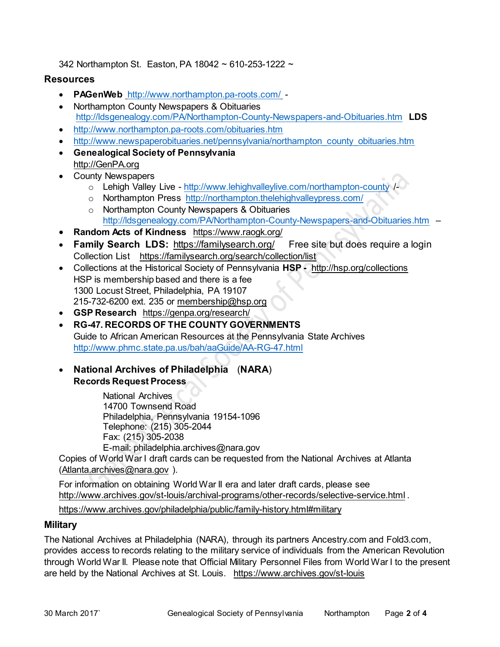342 Northampton St. Easton, PA 18042 ~ 610-253-1222 ~

## **Resources**

- **PAGenWeb** <http://www.northampton.pa-roots.com/> -
- Northampton County Newspapers & Obituaries <http://ldsgenealogy.com/PA/Northampton-County-Newspapers-and-Obituaries.htm> **LDS**
- <http://www.northampton.pa-roots.com/obituaries.htm>
- [http://www.newspaperobituaries.net/pennsylvania/northampton\\_county\\_obituaries.htm](http://www.newspaperobituaries.net/pennsylvania/northampton_county_obituaries.htm)
- **Genealogical Society of Pennsylvania** [http://GenPA.org](http://genpa.org/)
- County Newspapers
	- o Lehigh Valley Live <http://www.lehighvalleylive.com/northampton-county> /-
	- o Northampton Press<http://northampton.thelehighvalleypress.com/>
	- o Northampton County Newspapers & Obituaries <http://ldsgenealogy.com/PA/Northampton-County-Newspapers-and-Obituaries.htm> –
- **Random Acts of Kindness** <https://www.raogk.org/>
- **Family Search LDS:** <https://familysearch.org/> Free site but does require a login Collection List <https://familysearch.org/search/collection/list>
- Collections at the Historical Society of Pennsylvania **HSP -** <http://hsp.org/collections> HSP is membership based and there is a fee 1300 Locust Street, Philadelphia, PA 19107 215-732-6200 ext. 235 or [membership@hsp.org](mailto:membership@hsp.org)
- **GSP Research** <https://genpa.org/research/>
- **RG-47. RECORDS OF THE COUNTY GOVERNMENTS** Guide to African American Resources at the Pennsylvania State Archives <http://www.phmc.state.pa.us/bah/aaGuide/AA-RG-47.html>
- **National Archives of Philadelphia** (**NARA**) **Records Request Process**

National Archives 14700 Townsend Road Philadelphia, Pennsylvania 19154-1096 Telephone: (215) 305-2044 Fax: (215) 305-2038 E-mail: philadelphia.archives@nara.gov

Copies of World War I draft cards can be requested from the National Archives at Atlanta [\(Atlanta.archives@nara.gov](mailto:Atlanta.archives@nara.gov) ).

For information on obtaining World War II era and later draft cards, please see <http://www.archives.gov/st-louis/archival-programs/other-records/selective-service.html> .

<https://www.archives.gov/philadelphia/public/family-history.html#military>

## **Military**

The National Archives at Philadelphia (NARA), through its partners Ancestry.com and Fold3.com, provides access to records relating to the military service of individuals from the American Revolution through World War II. Please note that Official Military Personnel Files from World War I to the present are held by the National Archives at St. Louis. <https://www.archives.gov/st-louis>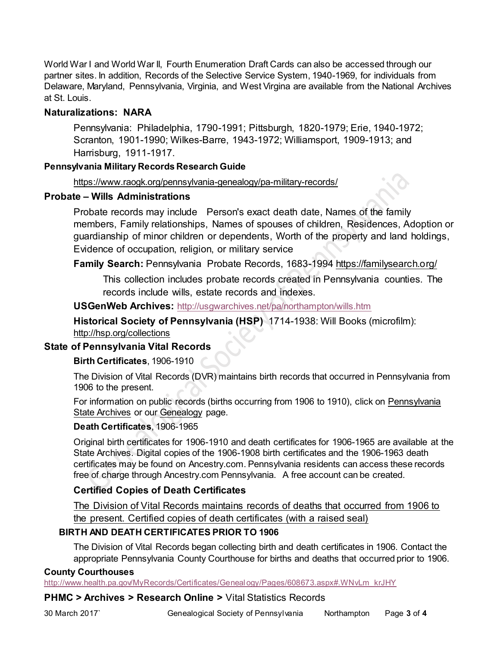World War I and World War II, Fourth Enumeration Draft Cards can also be accessed through our partner sites. In addition, Records of the Selective Service System, 1940-1969, for individuals from Delaware, Maryland, Pennsylvania, Virginia, and West Virgina are available from the National Archives at St. Louis.

## **Naturalizations: NARA**

Pennsylvania: Philadelphia, 1790-1991; Pittsburgh, 1820-1979; Erie, 1940-1972; Scranton, 1901-1990; Wilkes-Barre, 1943-1972; Williamsport, 1909-1913; and Harrisburg, 1911-1917.

## **Pennsylvania Military Records Research Guide**

<https://www.raogk.org/pennsylvania-genealogy/pa-military-records/>

## **Probate – Wills Administrations**

Probate records may include Person's exact death date, Names of the family members, Family relationships, Names of spouses of children, Residences, Adoption or guardianship of minor children or dependents, Worth of the property and land holdings, Evidence of occupation, religion, or military service

**Family Search:** Pennsylvania Probate Records, 1683-1994 <https://familysearch.org/>

This collection includes probate records created in Pennsylvania counties. The records include wills, estate records and indexes.

## **USGenWeb Archives:** <http://usgwarchives.net/pa/northampton/wills.htm>

**Historical Society of Pennsylvania (HSP)** 1714-1938: Will Books (microfilm): <http://hsp.org/collections>

## **State of Pennsylvania Vital Records**

## **Birth Certificates**, 1906-1910

The Division of Vital Records (DVR) maintains birth records that occurred in Pennsylvania from 1906 to the present.

For information on public records (births occurring from 1906 to 1910), click on Pennsylvania **[State Archives](http://www.phmc.pa.gov/archives/Pages/default.aspx) or our [Genealogy](http://www.health.pa.gov/MyRecords/Certificates/Genealogy/Pages/14125.aspx#.WNvLKfkrJHY) page.** 

## **Death Certificates**, 1906-1965

Original birth certificates for 1906-1910 and death certificates for 1906-1965 are available at the State Archives. Digital copies of the 1906-1908 birth certificates and the 1906-1963 death certificates may be found on Ancestry.com. Pennsylvania residents can access these records free of charge through Ancestry.com Pennsylvania. A free account can be created.

## **Certified Copies of Death Certificates**

[The Division of Vital Records maintains records of deaths that occurred from 1906 to](http://www.health.pa.gov/MyRecords/Certificates/DeathCertificates/Pages/default.aspx#.V9RjGa3cyH5)  [the present. Certified copies of death certificates \(with a raised seal\)](http://www.health.pa.gov/MyRecords/Certificates/DeathCertificates/Pages/default.aspx#.V9RjGa3cyH5)

## **BIRTH AND DEATH CERTIFICATES PRIOR TO 1906**

The Division of Vital Records began collecting birth and death certificates in 1906. Contact the appropriate Pennsylvania County Courthouse for births and deaths that occurred prior to 1906.

### **County Courthouses**

[http://www.health.pa.gov/MyRecords/Certificates/Geneal](http://www.health.pa.gov/MyRecords/Certificates/Genealogy/Pages/608673.aspx#.WNvLm_krJHY) ogy/Pages/608673.aspx#.WNvLm\_krJHY

## **PHMC > Archives > Research Online >** [Vital Statistics Records](http://www.phmc.pa.gov/Archives/Research-Online/Pages/Vital-Statistics.aspx)